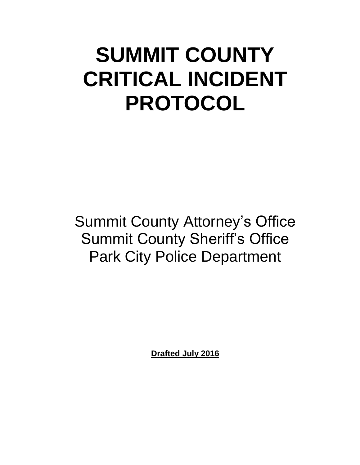# **SUMMIT COUNTY CRITICAL INCIDENT PROTOCOL**

Summit County Attorney's Office Summit County Sheriff's Office Park City Police Department

**Drafted July 2016**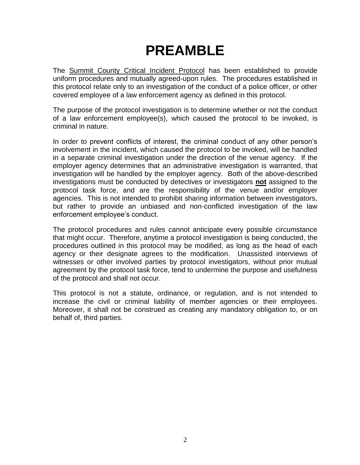## **PREAMBLE**

The **Summit County Critical Incident Protocol** has been established to provide uniform procedures and mutually agreed-upon rules. The procedures established in this protocol relate only to an investigation of the conduct of a police officer, or other covered employee of a law enforcement agency as defined in this protocol.

The purpose of the protocol investigation is to determine whether or not the conduct of a law enforcement employee(s), which caused the protocol to be invoked, is criminal in nature.

In order to prevent conflicts of interest, the criminal conduct of any other person's involvement in the incident, which caused the protocol to be invoked, will be handled in a separate criminal investigation under the direction of the venue agency. If the employer agency determines that an administrative investigation is warranted, that investigation will be handled by the employer agency. Both of the above-described investigations must be conducted by detectives or investigators **not** assigned to the protocol task force, and are the responsibility of the venue and/or employer agencies. This is not intended to prohibit sharing information between investigators, but rather to provide an unbiased and non-conflicted investigation of the law enforcement employee's conduct.

The protocol procedures and rules cannot anticipate every possible circumstance that might occur. Therefore, anytime a protocol investigation is being conducted, the procedures outlined in this protocol may be modified, as long as the head of each agency or their designate agrees to the modification. Unassisted interviews of witnesses or other involved parties by protocol investigators, without prior mutual agreement by the protocol task force, tend to undermine the purpose and usefulness of the protocol and shall not occur.

This protocol is not a statute, ordinance, or regulation, and is not intended to increase the civil or criminal liability of member agencies or their employees. Moreover, it shall not be construed as creating any mandatory obligation to, or on behalf of, third parties.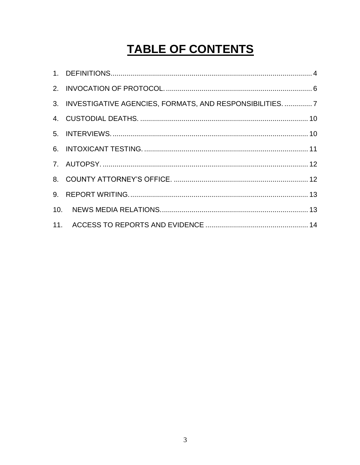### **TABLE OF CONTENTS**

| 3. INVESTIGATIVE AGENCIES, FORMATS, AND RESPONSIBILITIES.  7 |  |
|--------------------------------------------------------------|--|
|                                                              |  |
|                                                              |  |
|                                                              |  |
|                                                              |  |
|                                                              |  |
|                                                              |  |
|                                                              |  |
|                                                              |  |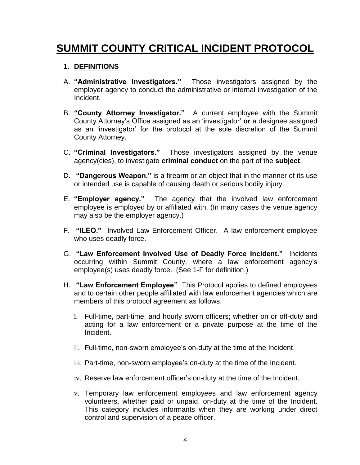### **SUMMIT COUNTY CRITICAL INCIDENT PROTOCOL**

#### <span id="page-3-0"></span>**1. DEFINITIONS**

- A. **"Administrative Investigators."** Those investigators assigned by the employer agency to conduct the administrative or internal investigation of the Incident.
- B. **"County Attorney Investigator."** A current employee with the Summit County Attorney's Office assigned as an 'investigator' **or** a designee assigned as an 'investigator' for the protocol at the sole discretion of the Summit County Attorney.
- C. **"Criminal Investigators."** Those investigators assigned by the venue agency(cies), to investigate **criminal conduct** on the part of the **subject**.
- D. **"Dangerous Weapon."** is a firearm or an object that in the manner of its use or intended use is capable of causing death or serious bodily injury.
- E. **"Employer agency."** The agency that the involved law enforcement employee is employed by or affiliated with. (In many cases the venue agency may also be the employer agency.)
- F. **"ILEO."** Involved Law Enforcement Officer. A law enforcement employee who uses deadly force.
- G. **"Law Enforcement Involved Use of Deadly Force Incident."** Incidents occurring within Summit County, where a law enforcement agency's employee(s) uses deadly force. (See 1-F for definition.)
- H. **"Law Enforcement Employee"** This Protocol applies to defined employees and to certain other people affiliated with law enforcement agencies which are members of this protocol agreement as follows:
	- i. Full-time, part-time, and hourly sworn officers; whether on or off-duty and acting for a law enforcement or a private purpose at the time of the Incident.
	- ii. Full-time, non-sworn employee's on-duty at the time of the Incident.
	- iii. Part-time, non-sworn employee's on-duty at the time of the Incident.
	- iv. Reserve law enforcement officer's on-duty at the time of the Incident.
	- v. Temporary law enforcement employees and law enforcement agency volunteers, whether paid or unpaid, on-duty at the time of the Incident. This category includes informants when they are working under direct control and supervision of a peace officer.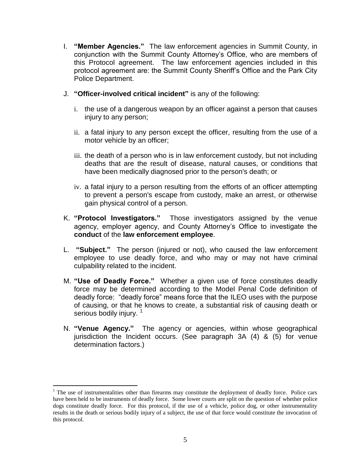- I. **"Member Agencies."** The law enforcement agencies in Summit County, in conjunction with the Summit County Attorney's Office, who are members of this Protocol agreement. The law enforcement agencies included in this protocol agreement are: the Summit County Sheriff's Office and the Park City Police Department.
- J. **"Officer-involved critical incident"** is any of the following:
	- i. the use of a dangerous weapon by an officer against a person that causes injury to any person;
	- ii. a fatal injury to any person except the officer, resulting from the use of a motor vehicle by an officer;
	- iii. the death of a person who is in law enforcement custody, but not including deaths that are the result of disease, natural causes, or conditions that have been medically diagnosed prior to the person's death; or
	- iv. a fatal injury to a person resulting from the efforts of an officer attempting to prevent a person's escape from custody, make an arrest, or otherwise gain physical control of a person.
- K. **"Protocol Investigators."** Those investigators assigned by the venue agency, employer agency, and County Attorney's Office to investigate the **conduct** of the **law enforcement employee**.
- L. **"Subject."** The person (injured or not), who caused the law enforcement employee to use deadly force, and who may or may not have criminal culpability related to the incident.
- M. **"Use of Deadly Force."** Whether a given use of force constitutes deadly force may be determined according to the Model Penal Code definition of deadly force: "deadly force" means force that the ILEO uses with the purpose of causing, or that he knows to create, a substantial risk of causing death or serious bodily injury.<sup>1</sup>
- N. **"Venue Agency."** The agency or agencies, within whose geographical jurisdiction the Incident occurs. (See paragraph 3A (4) & (5) for venue determination factors.)

 $\overline{a}$ 

 $1$  The use of instrumentalities other than firearms may constitute the deployment of deadly force. Police cars have been held to be instruments of deadly force. Some lower courts are split on the question of whether police dogs constitute deadly force. For this protocol, if the use of a vehicle, police dog, or other instrumentality results in the death or serious bodily injury of a subject, the use of that force would constitute the invocation of this protocol.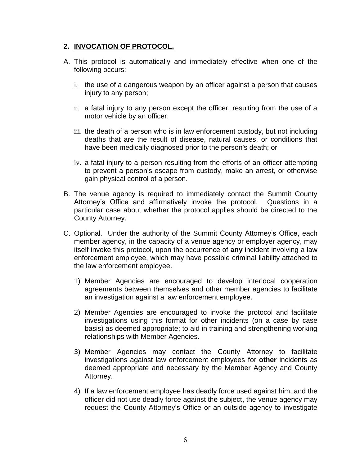#### <span id="page-5-0"></span>**2. INVOCATION OF PROTOCOL.**

- A. This protocol is automatically and immediately effective when one of the following occurs:
	- i. the use of a dangerous weapon by an officer against a person that causes injury to any person;
	- ii. a fatal injury to any person except the officer, resulting from the use of a motor vehicle by an officer;
	- iii. the death of a person who is in law enforcement custody, but not including deaths that are the result of disease, natural causes, or conditions that have been medically diagnosed prior to the person's death; or
	- iv. a fatal injury to a person resulting from the efforts of an officer attempting to prevent a person's escape from custody, make an arrest, or otherwise gain physical control of a person.
- B. The venue agency is required to immediately contact the Summit County Attorney's Office and affirmatively invoke the protocol. Questions in a particular case about whether the protocol applies should be directed to the County Attorney.
- C. Optional. Under the authority of the Summit County Attorney's Office, each member agency, in the capacity of a venue agency or employer agency, may itself invoke this protocol, upon the occurrence of **any** incident involving a law enforcement employee, which may have possible criminal liability attached to the law enforcement employee.
	- 1) Member Agencies are encouraged to develop interlocal cooperation agreements between themselves and other member agencies to facilitate an investigation against a law enforcement employee.
	- 2) Member Agencies are encouraged to invoke the protocol and facilitate investigations using this format for other incidents (on a case by case basis) as deemed appropriate; to aid in training and strengthening working relationships with Member Agencies.
	- 3) Member Agencies may contact the County Attorney to facilitate investigations against law enforcement employees for **other** incidents as deemed appropriate and necessary by the Member Agency and County Attorney.
	- 4) If a law enforcement employee has deadly force used against him, and the officer did not use deadly force against the subject, the venue agency may request the County Attorney's Office or an outside agency to investigate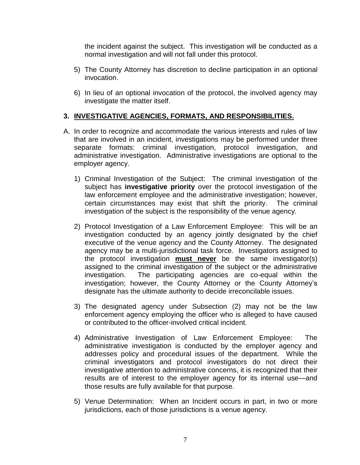the incident against the subject. This investigation will be conducted as a normal investigation and will not fall under this protocol.

- 5) The County Attorney has discretion to decline participation in an optional invocation.
- 6) In lieu of an optional invocation of the protocol, the involved agency may investigate the matter itself.

#### <span id="page-6-0"></span>**3. INVESTIGATIVE AGENCIES, FORMATS, AND RESPONSIBILITIES.**

- A. In order to recognize and accommodate the various interests and rules of law that are involved in an incident, investigations may be performed under three separate formats: criminal investigation, protocol investigation, and administrative investigation. Administrative investigations are optional to the employer agency.
	- 1) Criminal Investigation of the Subject: The criminal investigation of the subject has **investigative priority** over the protocol investigation of the law enforcement employee and the administrative investigation; however, certain circumstances may exist that shift the priority. The criminal investigation of the subject is the responsibility of the venue agency.
	- 2) Protocol Investigation of a Law Enforcement Employee: This will be an investigation conducted by an agency jointly designated by the chief executive of the venue agency and the County Attorney. The designated agency may be a multi-jurisdictional task force. Investigators assigned to the protocol investigation **must never** be the same investigator(s) assigned to the criminal investigation of the subject or the administrative investigation. The participating agencies are co-equal within the investigation; however, the County Attorney or the County Attorney's designate has the ultimate authority to decide irreconcilable issues.
	- 3) The designated agency under Subsection (2) may not be the law enforcement agency employing the officer who is alleged to have caused or contributed to the officer-involved critical incident.
	- 4) Administrative Investigation of Law Enforcement Employee: The administrative investigation is conducted by the employer agency and addresses policy and procedural issues of the department. While the criminal investigators and protocol investigators do not direct their investigative attention to administrative concerns, it is recognized that their results are of interest to the employer agency for its internal use—and those results are fully available for that purpose.
	- 5) Venue Determination: When an Incident occurs in part, in two or more jurisdictions, each of those jurisdictions is a venue agency.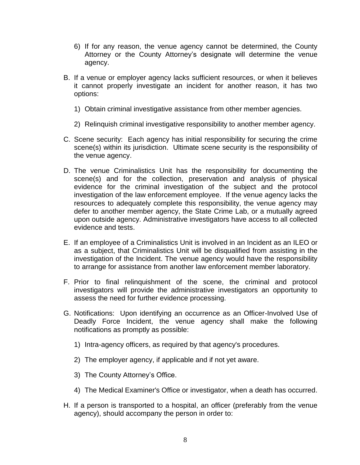- 6) If for any reason, the venue agency cannot be determined, the County Attorney or the County Attorney's designate will determine the venue agency.
- B. If a venue or employer agency lacks sufficient resources, or when it believes it cannot properly investigate an incident for another reason, it has two options:
	- 1) Obtain criminal investigative assistance from other member agencies.
	- 2) Relinquish criminal investigative responsibility to another member agency.
- C. Scene security: Each agency has initial responsibility for securing the crime scene(s) within its jurisdiction. Ultimate scene security is the responsibility of the venue agency.
- D. The venue Criminalistics Unit has the responsibility for documenting the scene(s) and for the collection, preservation and analysis of physical evidence for the criminal investigation of the subject and the protocol investigation of the law enforcement employee. If the venue agency lacks the resources to adequately complete this responsibility, the venue agency may defer to another member agency, the State Crime Lab, or a mutually agreed upon outside agency. Administrative investigators have access to all collected evidence and tests.
- E. If an employee of a Criminalistics Unit is involved in an Incident as an ILEO or as a subject, that Criminalistics Unit will be disqualified from assisting in the investigation of the Incident. The venue agency would have the responsibility to arrange for assistance from another law enforcement member laboratory.
- F. Prior to final relinquishment of the scene, the criminal and protocol investigators will provide the administrative investigators an opportunity to assess the need for further evidence processing.
- G. Notifications: Upon identifying an occurrence as an Officer-Involved Use of Deadly Force Incident, the venue agency shall make the following notifications as promptly as possible:
	- 1) Intra-agency officers, as required by that agency's procedures.
	- 2) The employer agency, if applicable and if not yet aware.
	- 3) The County Attorney's Office.
	- 4) The Medical Examiner's Office or investigator, when a death has occurred.
- H. If a person is transported to a hospital, an officer (preferably from the venue agency), should accompany the person in order to: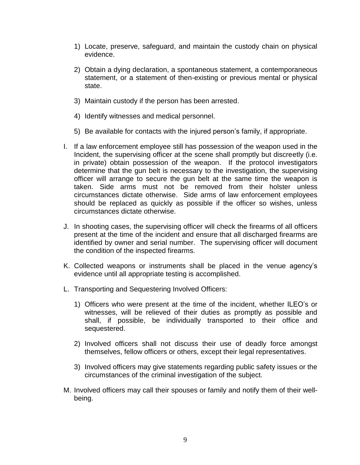- 1) Locate, preserve, safeguard, and maintain the custody chain on physical evidence.
- 2) Obtain a dying declaration, a spontaneous statement, a contemporaneous statement, or a statement of then-existing or previous mental or physical state.
- 3) Maintain custody if the person has been arrested.
- 4) Identify witnesses and medical personnel.
- 5) Be available for contacts with the injured person's family, if appropriate.
- I. If a law enforcement employee still has possession of the weapon used in the Incident, the supervising officer at the scene shall promptly but discreetly (i.e. in private) obtain possession of the weapon. If the protocol investigators determine that the gun belt is necessary to the investigation, the supervising officer will arrange to secure the gun belt at the same time the weapon is taken. Side arms must not be removed from their holster unless circumstances dictate otherwise. Side arms of law enforcement employees should be replaced as quickly as possible if the officer so wishes, unless circumstances dictate otherwise.
- J. In shooting cases, the supervising officer will check the firearms of all officers present at the time of the incident and ensure that all discharged firearms are identified by owner and serial number. The supervising officer will document the condition of the inspected firearms.
- K. Collected weapons or instruments shall be placed in the venue agency's evidence until all appropriate testing is accomplished.
- L. Transporting and Sequestering Involved Officers:
	- 1) Officers who were present at the time of the incident, whether ILEO's or witnesses, will be relieved of their duties as promptly as possible and shall, if possible, be individually transported to their office and sequestered.
	- 2) Involved officers shall not discuss their use of deadly force amongst themselves, fellow officers or others, except their legal representatives.
	- 3) Involved officers may give statements regarding public safety issues or the circumstances of the criminal investigation of the subject.
- M. Involved officers may call their spouses or family and notify them of their wellbeing.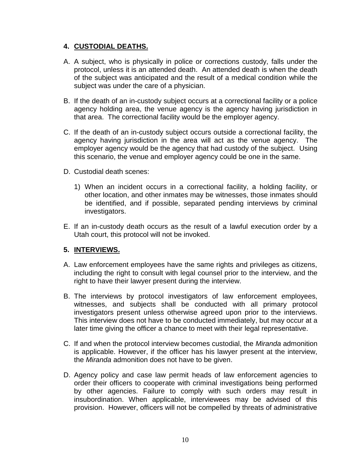#### <span id="page-9-0"></span>**4. CUSTODIAL DEATHS.**

- A. A subject, who is physically in police or corrections custody, falls under the protocol, unless it is an attended death. An attended death is when the death of the subject was anticipated and the result of a medical condition while the subject was under the care of a physician.
- B. If the death of an in-custody subject occurs at a correctional facility or a police agency holding area, the venue agency is the agency having jurisdiction in that area. The correctional facility would be the employer agency.
- C. If the death of an in-custody subject occurs outside a correctional facility, the agency having jurisdiction in the area will act as the venue agency. The employer agency would be the agency that had custody of the subject. Using this scenario, the venue and employer agency could be one in the same.
- D. Custodial death scenes:
	- 1) When an incident occurs in a correctional facility, a holding facility, or other location, and other inmates may be witnesses, those inmates should be identified, and if possible, separated pending interviews by criminal investigators.
- E. If an in-custody death occurs as the result of a lawful execution order by a Utah court, this protocol will not be invoked.

#### <span id="page-9-1"></span>**5. INTERVIEWS.**

- A. Law enforcement employees have the same rights and privileges as citizens, including the right to consult with legal counsel prior to the interview, and the right to have their lawyer present during the interview.
- B. The interviews by protocol investigators of law enforcement employees, witnesses, and subjects shall be conducted with all primary protocol investigators present unless otherwise agreed upon prior to the interviews. This interview does not have to be conducted immediately, but may occur at a later time giving the officer a chance to meet with their legal representative.
- C. If and when the protocol interview becomes custodial, the *Miranda* admonition is applicable. However, if the officer has his lawyer present at the interview, the *Miranda* admonition does not have to be given.
- D. Agency policy and case law permit heads of law enforcement agencies to order their officers to cooperate with criminal investigations being performed by other agencies. Failure to comply with such orders may result in insubordination. When applicable, interviewees may be advised of this provision. However, officers will not be compelled by threats of administrative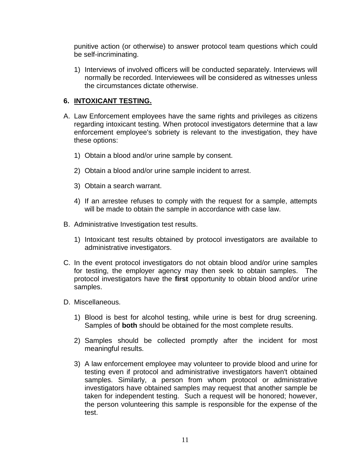punitive action (or otherwise) to answer protocol team questions which could be self-incriminating.

1) Interviews of involved officers will be conducted separately. Interviews will normally be recorded. Interviewees will be considered as witnesses unless the circumstances dictate otherwise.

#### <span id="page-10-0"></span>**6. INTOXICANT TESTING.**

- A. Law Enforcement employees have the same rights and privileges as citizens regarding intoxicant testing. When protocol investigators determine that a law enforcement employee's sobriety is relevant to the investigation, they have these options:
	- 1) Obtain a blood and/or urine sample by consent.
	- 2) Obtain a blood and/or urine sample incident to arrest.
	- 3) Obtain a search warrant.
	- 4) If an arrestee refuses to comply with the request for a sample, attempts will be made to obtain the sample in accordance with case law.
- B. Administrative Investigation test results.
	- 1) Intoxicant test results obtained by protocol investigators are available to administrative investigators.
- C. In the event protocol investigators do not obtain blood and/or urine samples for testing, the employer agency may then seek to obtain samples. The protocol investigators have the **first** opportunity to obtain blood and/or urine samples.
- D. Miscellaneous.
	- 1) Blood is best for alcohol testing, while urine is best for drug screening. Samples of **both** should be obtained for the most complete results.
	- 2) Samples should be collected promptly after the incident for most meaningful results.
	- 3) A law enforcement employee may volunteer to provide blood and urine for testing even if protocol and administrative investigators haven't obtained samples. Similarly, a person from whom protocol or administrative investigators have obtained samples may request that another sample be taken for independent testing. Such a request will be honored; however, the person volunteering this sample is responsible for the expense of the test.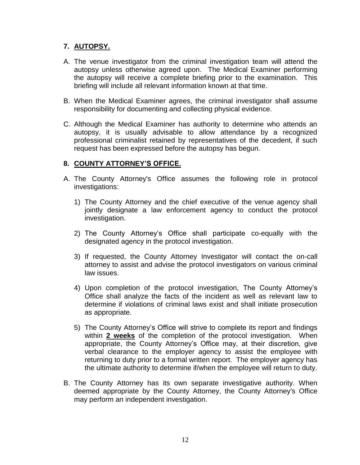#### <span id="page-11-0"></span>**7. AUTOPSY.**

- A. The venue investigator from the criminal investigation team will attend the autopsy unless otherwise agreed upon. The Medical Examiner performing the autopsy will receive a complete briefing prior to the examination. This briefing will include all relevant information known at that time.
- B. When the Medical Examiner agrees, the criminal investigator shall assume responsibility for documenting and collecting physical evidence.
- C. Although the Medical Examiner has authority to determine who attends an autopsy, it is usually advisable to allow attendance by a recognized professional criminalist retained by representatives of the decedent, if such request has been expressed before the autopsy has begun.

#### <span id="page-11-1"></span>**8. COUNTY ATTORNEY'S OFFICE.**

- A. The County Attorney's Office assumes the following role in protocol investigations:
	- 1) The County Attorney and the chief executive of the venue agency shall jointly designate a law enforcement agency to conduct the protocol investigation.
	- 2) The County Attorney's Office shall participate co-equally with the designated agency in the protocol investigation.
	- 3) If requested, the County Attorney Investigator will contact the on-call attorney to assist and advise the protocol investigators on various criminal law issues.
	- 4) Upon completion of the protocol investigation, The County Attorney's Office shall analyze the facts of the incident as well as relevant law to determine if violations of criminal laws exist and shall initiate prosecution as appropriate.
	- 5) The County Attorney's Office will strive to complete its report and findings within **2 weeks** of the completion of the protocol investigation. When appropriate, the County Attorney's Office may, at their discretion, give verbal clearance to the employer agency to assist the employee with returning to duty prior to a formal written report. The employer agency has the ultimate authority to determine if/when the employee will return to duty.
- B. The County Attorney has its own separate investigative authority. When deemed appropriate by the County Attorney, the County Attorney's Office may perform an independent investigation.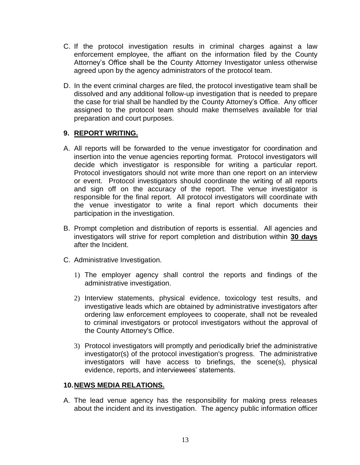- C. If the protocol investigation results in criminal charges against a law enforcement employee, the affiant on the information filed by the County Attorney's Office shall be the County Attorney Investigator unless otherwise agreed upon by the agency administrators of the protocol team.
- D. In the event criminal charges are filed, the protocol investigative team shall be dissolved and any additional follow-up investigation that is needed to prepare the case for trial shall be handled by the County Attorney's Office. Any officer assigned to the protocol team should make themselves available for trial preparation and court purposes.

#### <span id="page-12-0"></span>**9. REPORT WRITING.**

- A. All reports will be forwarded to the venue investigator for coordination and insertion into the venue agencies reporting format. Protocol investigators will decide which investigator is responsible for writing a particular report. Protocol investigators should not write more than one report on an interview or event. Protocol investigators should coordinate the writing of all reports and sign off on the accuracy of the report. The venue investigator is responsible for the final report. All protocol investigators will coordinate with the venue investigator to write a final report which documents their participation in the investigation.
- B. Prompt completion and distribution of reports is essential. All agencies and investigators will strive for report completion and distribution within **30 days** after the Incident.
- C. Administrative Investigation.
	- 1) The employer agency shall control the reports and findings of the administrative investigation.
	- 2) Interview statements, physical evidence, toxicology test results, and investigative leads which are obtained by administrative investigators after ordering law enforcement employees to cooperate, shall not be revealed to criminal investigators or protocol investigators without the approval of the County Attorney's Office.
	- 3) Protocol investigators will promptly and periodically brief the administrative investigator(s) of the protocol investigation's progress. The administrative investigators will have access to briefings, the scene(s), physical evidence, reports, and interviewees' statements.

#### <span id="page-12-1"></span>**10.NEWS MEDIA RELATIONS.**

A. The lead venue agency has the responsibility for making press releases about the incident and its investigation. The agency public information officer